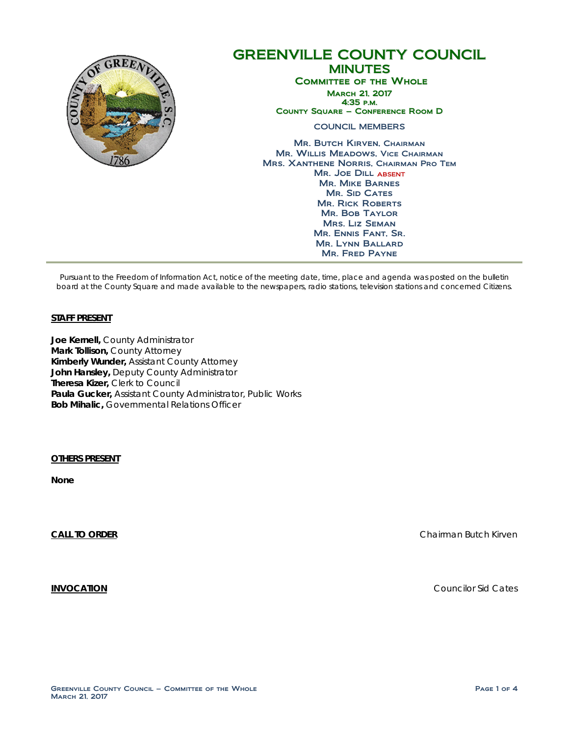

# GREENVILLE COUNTY COUNCIL MINUTES Committee of the Whole March 21, 2017 4:35 p.m. County Square – Conference Room D COUNCIL MEMBERS Mr. Butch Kirven, Chairman Mr. Willis Meadows, Vice Chairman Mrs. Xanthene Norris, Chairman Pro Tem Mr. Joe Dill ABSENT Mr. Mike Barnes MR. SID CATES **MR. RICK ROBERTS** Mr. Bob Taylor

Mrs. Liz Seman Mr. Ennis Fant, Sr. Mr. Lynn Ballard Mr. Fred Payne

Pursuant to the Freedom of Information Act, notice of the meeting date, time, place and agenda was posted on the bulletin board at the County Square and made available to the newspapers, radio stations, television stations and concerned Citizens.

#### **STAFF PRESENT**

**Joe Kernell,** County Administrator **Mark Tollison,** County Attorney **Kimberly Wunder,** Assistant County Attorney **John Hansley,** Deputy County Administrator **Theresa Kizer,** Clerk to Council **Paula Gucker,** Assistant County Administrator, Public Works **Bob Mihalic,** Governmental Relations Officer

**OTHERS PRESENT** 

**None**

**CALL TO ORDER** CHAIRMAN BUTCH CHAIRMAN BUTCH CHAIRMAN BUTCH CHAIRMAN BUTCH CHAIRMAN BUTCH CHAIRMAN BUTCH CHAIRMAN BUTCH CHAIRMAN BUTCH CHAIRMAN BUTCH CHAIRMAN BUTCH CHAIRMAN BUTCH CHAIRMAN BUTCH CHAIRMAN BUTCH CHAIRMAN BU

**INVOCATION** Councilor Sid Cates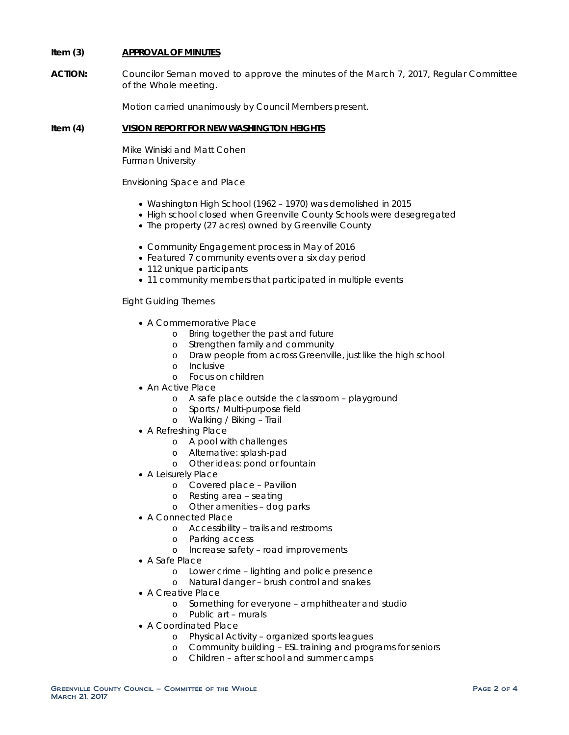## **Item (3) APPROVAL OF MINUTES**

**ACTION:** Councilor Seman moved to approve the minutes of the March 7, 2017, Regular Committee of the Whole meeting.

Motion carried unanimously by Council Members present.

## **Item (4) VISION REPORT FOR NEW WASHINGTON HEIGHTS**

Mike Winiski and Matt Cohen Furman University

Envisioning Space and Place

- Washington High School (1962 1970) was demolished in 2015
- High school closed when Greenville County Schools were desegregated
- The property (27 acres) owned by Greenville County
- Community Engagement process in May of 2016
- Featured 7 community events over a six day period
- 112 unique participants
- 11 community members that participated in multiple events

Eight Guiding Themes

- A Commemorative Place
	- o Bring together the past and future
	- o Strengthen family and community
	- o Draw people from across Greenville, just like the high school
	- o Inclusive
	- o Focus on children
- An Active Place
	- o A safe place outside the classroom playground
	- o Sports / Multi-purpose field
	- o Walking / Biking Trail
- A Refreshing Place
	- o A pool with challenges
	- o Alternative: splash-pad
	- o Other ideas: pond or fountain
- A Leisurely Place
	- o Covered place Pavilion
	- o Resting area seating
	- o Other amenities dog parks
- A Connected Place
	- o Accessibility trails and restrooms
	- o Parking access
	- o Increase safety road improvements
- A Safe Place
	- o Lower crime lighting and police presence
	- o Natural danger brush control and snakes
- A Creative Place
	- o Something for everyone amphitheater and studio
	- o Public art murals
- A Coordinated Place
	- o Physical Activity organized sports leagues
	- o Community building ESL training and programs for seniors
	- o Children after school and summer camps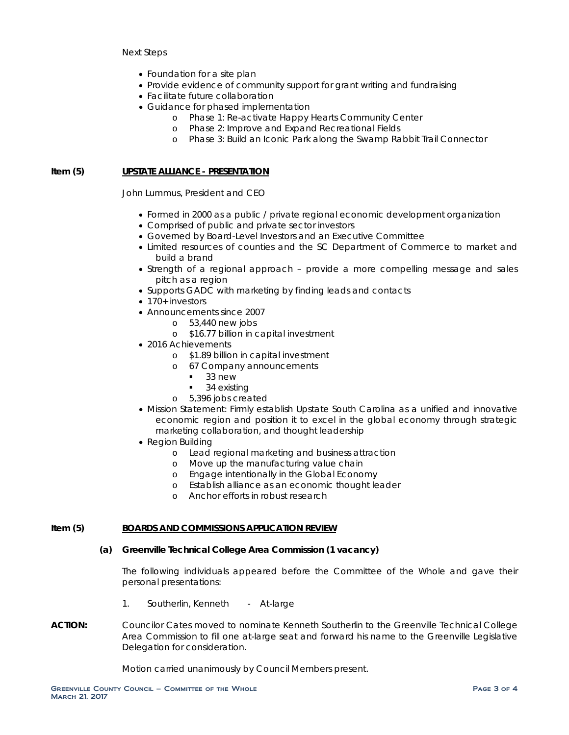Next Steps

- Foundation for a site plan
- Provide evidence of community support for grant writing and fundraising
- Facilitate future collaboration
- Guidance for phased implementation
	- o Phase 1: Re-activate Happy Hearts Community Center
	- o Phase 2: Improve and Expand Recreational Fields
	- o Phase 3: Build an Iconic Park along the Swamp Rabbit Trail Connector

### **Item (5) UPSTATE ALLIANCE - PRESENTATION**

John Lummus, President and CEO

- Formed in 2000 as a public / private regional economic development organization
- Comprised of public and private sector investors
- Governed by Board-Level Investors and an Executive Committee
- Limited resources of counties and the SC Department of Commerce to market and build a brand
- Strength of a regional approach provide a more compelling message and sales pitch as a region
- Supports GADC with marketing by finding leads and contacts
- 170+ investors
- Announcements since 2007
	- o 53,440 new jobs
	- o \$16.77 billion in capital investment
- 2016 Achievements
	- o \$1.89 billion in capital investment
	- o 67 Company announcements
		- 33 new
		- 34 existing
	- o 5,396 jobs created
- Mission Statement: Firmly establish Upstate South Carolina as a unified and innovative economic region and position it to excel in the global economy through strategic marketing collaboration, and thought leadership
- Region Building
	- o Lead regional marketing and business attraction
	- o Move up the manufacturing value chain
	- o Engage intentionally in the Global Economy
	- o Establish alliance as an economic thought leader
	- o Anchor efforts in robust research

#### **Item (5) BOARDS AND COMMISSIONS APPLICATION REVIEW**

## **(a) Greenville Technical College Area Commission (1 vacancy)**

The following individuals appeared before the Committee of the Whole and gave their personal presentations:

- 1. Southerlin, Kenneth At-large
- **ACTION:** Councilor Cates moved to nominate Kenneth Southerlin to the Greenville Technical College Area Commission to fill one at-large seat and forward his name to the Greenville Legislative Delegation for consideration.

Motion carried unanimously by Council Members present.